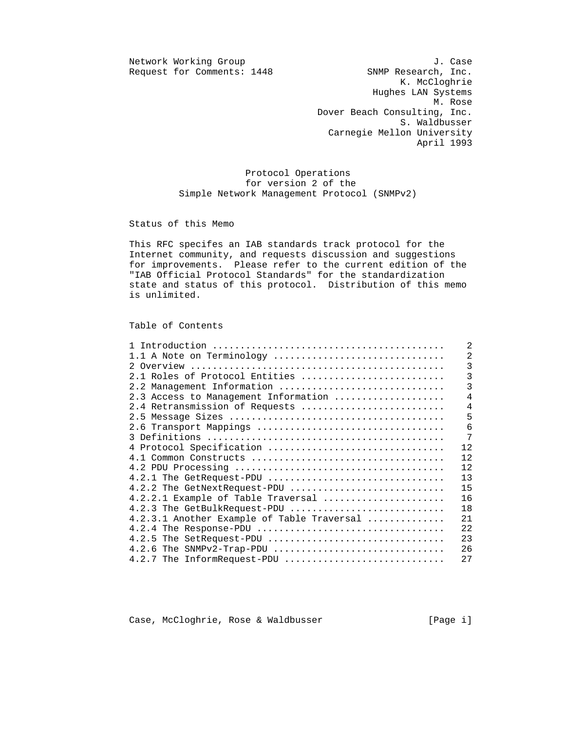Request for Comments: 1448

Network Working Group J. Case<br>Request for Comments: 1448 SNMP Research, Inc. K. McCloghrie Hughes LAN Systems M. Rose Dover Beach Consulting, Inc. S. Waldbusser Carnegie Mellon University April 1993

> Protocol Operations for version 2 of the Simple Network Management Protocol (SNMPv2)

Status of this Memo

 This RFC specifes an IAB standards track protocol for the Internet community, and requests discussion and suggestions for improvements. Please refer to the current edition of the "IAB Official Protocol Standards" for the standardization state and status of this protocol. Distribution of this memo is unlimited.

Table of Contents

|                                            | $\overline{2}$  |
|--------------------------------------------|-----------------|
| 1.1 A Note on Terminology                  | $\overline{a}$  |
|                                            | $\overline{3}$  |
| 2.1 Roles of Protocol Entities             | 3               |
| 2.2 Management Information                 | 3               |
| 2.3 Access to Management Information       | $\overline{4}$  |
| 2.4 Retransmission of Requests             | $\overline{4}$  |
|                                            | 5               |
|                                            | $6\phantom{1}6$ |
|                                            | 7               |
| 4 Protocol Specification                   | 12              |
|                                            | 12              |
|                                            | 12              |
| $4.2.1$ The GetRequest-PDU                 | 13              |
| 4.2.2 The GetNextRequest-PDU               | 15              |
| 4.2.2.1 Example of Table Traversal         | 16              |
| 4.2.3 The GetBulkRequest-PDU               | 18              |
| 4.2.3.1 Another Example of Table Traversal | 21              |
|                                            | 22              |
| $4.2.5$ The SetRequest-PDU                 | 23              |
|                                            | 26              |
| 4.2.7 The InformRequest-PDU                | 27              |

Case, McCloghrie, Rose & Waldbusser [Page i]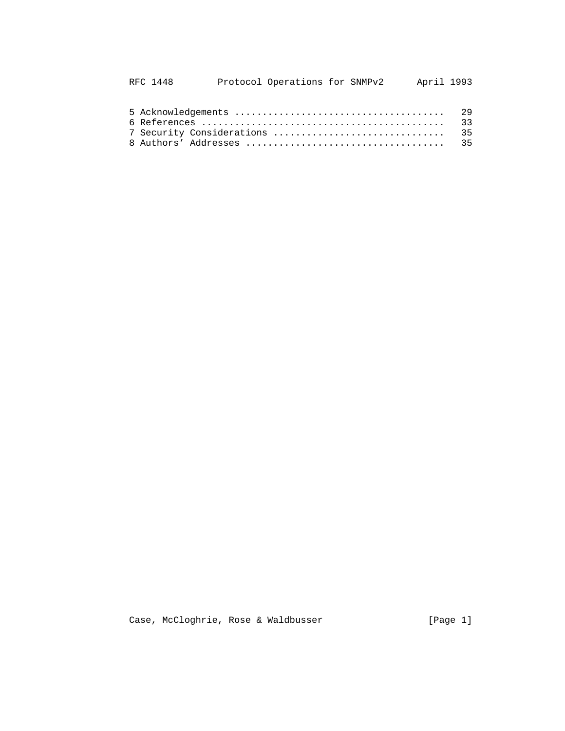| RFC 1448 |                           | Protocol Operations for SNMPv2 |  |  | April 1993 |
|----------|---------------------------|--------------------------------|--|--|------------|
|          |                           |                                |  |  |            |
|          |                           |                                |  |  | 33         |
|          | 7 Security Considerations |                                |  |  | 35         |
|          |                           |                                |  |  |            |

Case, McCloghrie, Rose & Waldbusser [Page 1]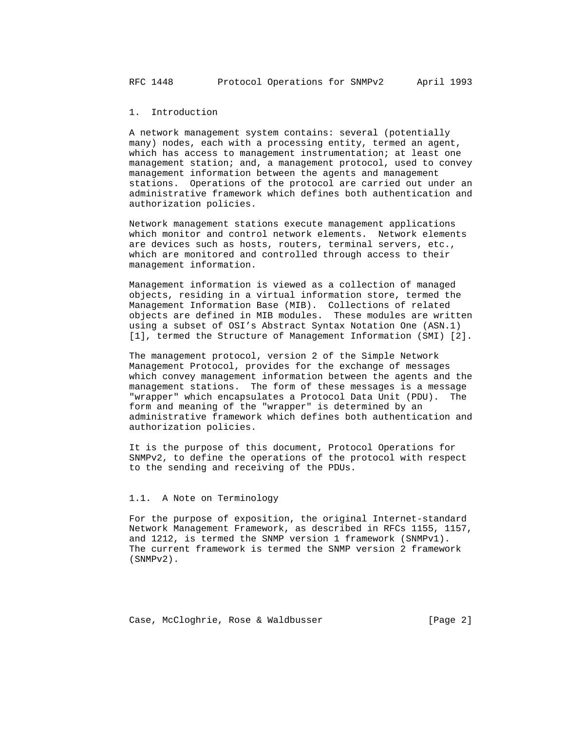1. Introduction

 A network management system contains: several (potentially many) nodes, each with a processing entity, termed an agent, which has access to management instrumentation; at least one management station; and, a management protocol, used to convey management information between the agents and management stations. Operations of the protocol are carried out under an administrative framework which defines both authentication and authorization policies.

 Network management stations execute management applications which monitor and control network elements. Network elements are devices such as hosts, routers, terminal servers, etc., which are monitored and controlled through access to their management information.

 Management information is viewed as a collection of managed objects, residing in a virtual information store, termed the Management Information Base (MIB). Collections of related objects are defined in MIB modules. These modules are written using a subset of OSI's Abstract Syntax Notation One (ASN.1) [1], termed the Structure of Management Information (SMI) [2].

 The management protocol, version 2 of the Simple Network Management Protocol, provides for the exchange of messages which convey management information between the agents and the management stations. The form of these messages is a message "wrapper" which encapsulates a Protocol Data Unit (PDU). The form and meaning of the "wrapper" is determined by an administrative framework which defines both authentication and authorization policies.

 It is the purpose of this document, Protocol Operations for SNMPv2, to define the operations of the protocol with respect to the sending and receiving of the PDUs.

### 1.1. A Note on Terminology

 For the purpose of exposition, the original Internet-standard Network Management Framework, as described in RFCs 1155, 1157, and 1212, is termed the SNMP version 1 framework (SNMPv1). The current framework is termed the SNMP version 2 framework (SNMPv2).

Case, McCloghrie, Rose & Waldbusser (Page 2)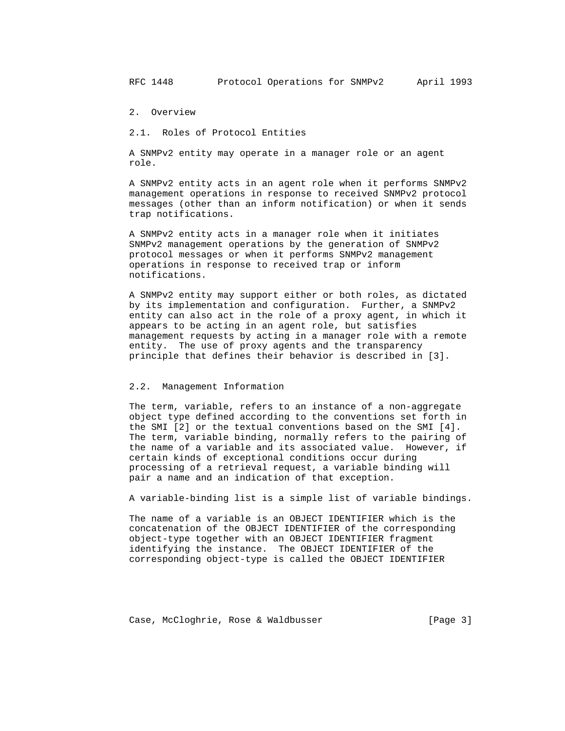RFC 1448 Protocol Operations for SNMPv2 April 1993

2. Overview

2.1. Roles of Protocol Entities

 A SNMPv2 entity may operate in a manager role or an agent role.

 A SNMPv2 entity acts in an agent role when it performs SNMPv2 management operations in response to received SNMPv2 protocol messages (other than an inform notification) or when it sends trap notifications.

 A SNMPv2 entity acts in a manager role when it initiates SNMPv2 management operations by the generation of SNMPv2 protocol messages or when it performs SNMPv2 management operations in response to received trap or inform notifications.

 A SNMPv2 entity may support either or both roles, as dictated by its implementation and configuration. Further, a SNMPv2 entity can also act in the role of a proxy agent, in which it appears to be acting in an agent role, but satisfies management requests by acting in a manager role with a remote entity. The use of proxy agents and the transparency principle that defines their behavior is described in [3].

#### 2.2. Management Information

 The term, variable, refers to an instance of a non-aggregate object type defined according to the conventions set forth in the SMI [2] or the textual conventions based on the SMI [4]. The term, variable binding, normally refers to the pairing of the name of a variable and its associated value. However, if certain kinds of exceptional conditions occur during processing of a retrieval request, a variable binding will pair a name and an indication of that exception.

A variable-binding list is a simple list of variable bindings.

 The name of a variable is an OBJECT IDENTIFIER which is the concatenation of the OBJECT IDENTIFIER of the corresponding object-type together with an OBJECT IDENTIFIER fragment identifying the instance. The OBJECT IDENTIFIER of the corresponding object-type is called the OBJECT IDENTIFIER

Case, McCloghrie, Rose & Waldbusser (Page 3)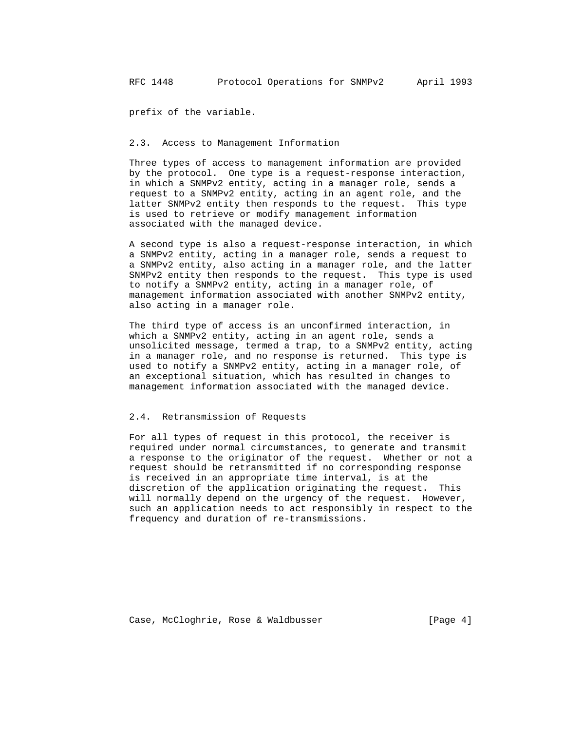prefix of the variable.

#### 2.3. Access to Management Information

 Three types of access to management information are provided by the protocol. One type is a request-response interaction, in which a SNMPv2 entity, acting in a manager role, sends a request to a SNMPv2 entity, acting in an agent role, and the latter SNMPv2 entity then responds to the request. This type is used to retrieve or modify management information associated with the managed device.

 A second type is also a request-response interaction, in which a SNMPv2 entity, acting in a manager role, sends a request to a SNMPv2 entity, also acting in a manager role, and the latter SNMPv2 entity then responds to the request. This type is used to notify a SNMPv2 entity, acting in a manager role, of management information associated with another SNMPv2 entity, also acting in a manager role.

 The third type of access is an unconfirmed interaction, in which a SNMPv2 entity, acting in an agent role, sends a unsolicited message, termed a trap, to a SNMPv2 entity, acting in a manager role, and no response is returned. This type is used to notify a SNMPv2 entity, acting in a manager role, of an exceptional situation, which has resulted in changes to management information associated with the managed device.

### 2.4. Retransmission of Requests

 For all types of request in this protocol, the receiver is required under normal circumstances, to generate and transmit a response to the originator of the request. Whether or not a request should be retransmitted if no corresponding response is received in an appropriate time interval, is at the discretion of the application originating the request. This will normally depend on the urgency of the request. However, such an application needs to act responsibly in respect to the frequency and duration of re-transmissions.

Case, McCloghrie, Rose & Waldbusser [Page 4]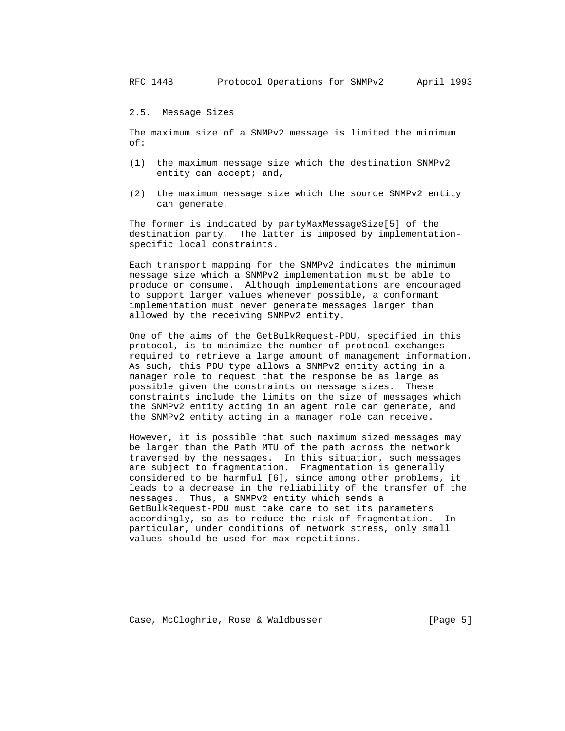2.5. Message Sizes

 The maximum size of a SNMPv2 message is limited the minimum of:

- (1) the maximum message size which the destination SNMPv2 entity can accept; and,
- (2) the maximum message size which the source SNMPv2 entity can generate.

 The former is indicated by partyMaxMessageSize[5] of the destination party. The latter is imposed by implementation specific local constraints.

 Each transport mapping for the SNMPv2 indicates the minimum message size which a SNMPv2 implementation must be able to produce or consume. Although implementations are encouraged to support larger values whenever possible, a conformant implementation must never generate messages larger than allowed by the receiving SNMPv2 entity.

 One of the aims of the GetBulkRequest-PDU, specified in this protocol, is to minimize the number of protocol exchanges required to retrieve a large amount of management information. As such, this PDU type allows a SNMPv2 entity acting in a manager role to request that the response be as large as possible given the constraints on message sizes. These constraints include the limits on the size of messages which the SNMPv2 entity acting in an agent role can generate, and the SNMPv2 entity acting in a manager role can receive.

 However, it is possible that such maximum sized messages may be larger than the Path MTU of the path across the network traversed by the messages. In this situation, such messages are subject to fragmentation. Fragmentation is generally considered to be harmful [6], since among other problems, it leads to a decrease in the reliability of the transfer of the messages. Thus, a SNMPv2 entity which sends a GetBulkRequest-PDU must take care to set its parameters accordingly, so as to reduce the risk of fragmentation. In particular, under conditions of network stress, only small values should be used for max-repetitions.

Case, McCloghrie, Rose & Waldbusser (Page 5)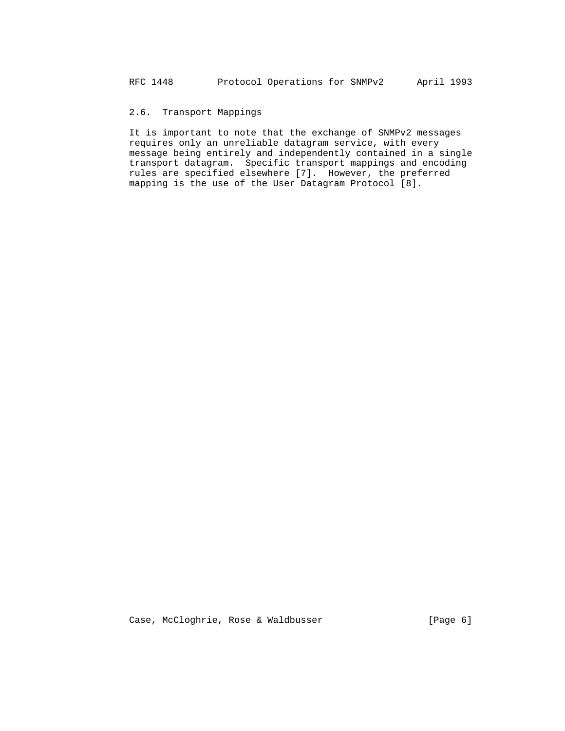# 2.6. Transport Mappings

 It is important to note that the exchange of SNMPv2 messages requires only an unreliable datagram service, with every message being entirely and independently contained in a single transport datagram. Specific transport mappings and encoding rules are specified elsewhere [7]. However, the preferred mapping is the use of the User Datagram Protocol [8].

Case, McCloghrie, Rose & Waldbusser [Page 6]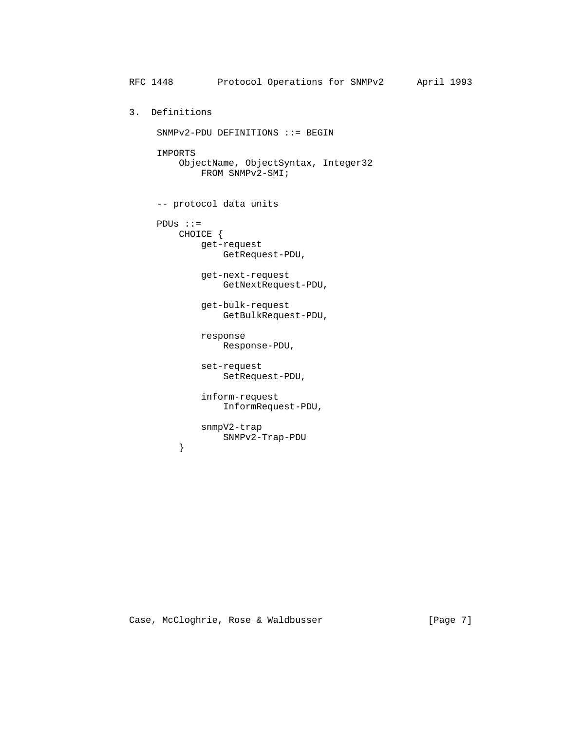```
 RFC 1448 Protocol Operations for SNMPv2 April 1993
          3. Definitions
               SNMPv2-PDU DEFINITIONS ::= BEGIN
               IMPORTS
                   ObjectName, ObjectSyntax, Integer32
                       FROM SNMPv2-SMI;
               -- protocol data units
               PDUs ::=
                   CHOICE {
                       get-request
                           GetRequest-PDU,
                       get-next-request
                           GetNextRequest-PDU,
                       get-bulk-request
                           GetBulkRequest-PDU,
                       response
                           Response-PDU,
                       set-request
                           SetRequest-PDU,
                       inform-request
                           InformRequest-PDU,
                       snmpV2-trap
                  SNMPv2-Trap-PDU<br>}
 }
```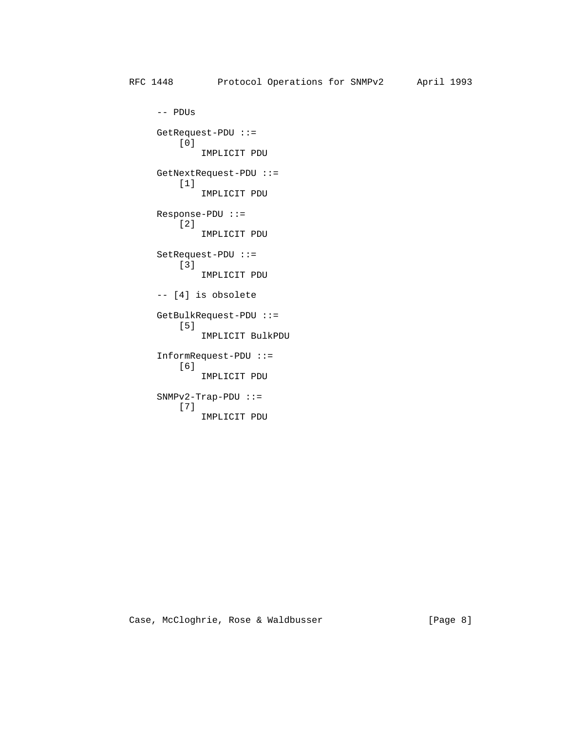-- PDUs GetRequest-PDU ::= [0] IMPLICIT PDU GetNextRequest-PDU ::= [1] IMPLICIT PDU Response-PDU ::= [2] IMPLICIT PDU SetRequest-PDU ::= [3] IMPLICIT PDU -- [4] is obsolete GetBulkRequest-PDU ::= [5] IMPLICIT BulkPDU InformRequest-PDU ::= [6] IMPLICIT PDU  $SNMPv2-Trap-PDU ::=$  [7] IMPLICIT PDU

Case, McCloghrie, Rose & Waldbusser [Page 8]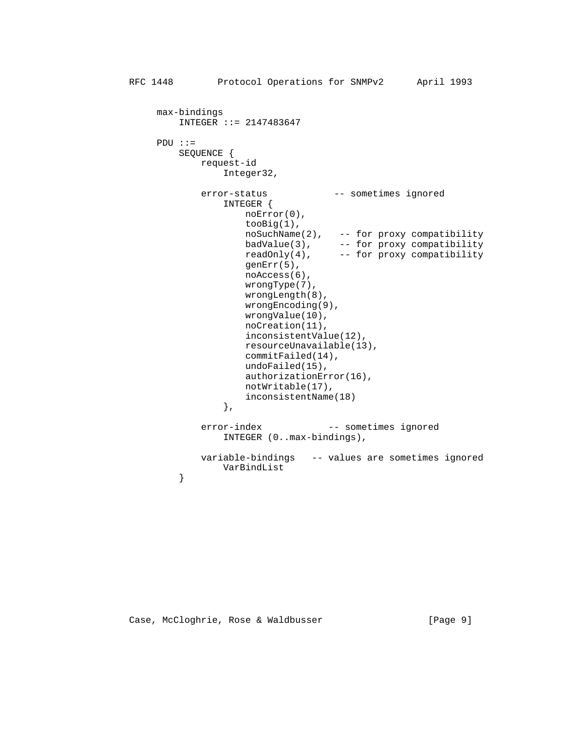```
 max-bindings
                 INTEGER ::= 2147483647
              PDU ::=
                 SEQUENCE {
                     request-id
                        Integer32,
                     error-status -- sometimes ignored
                        INTEGER {
                            noError(0),
                            tooBig(1),
 noSuchName(2), -- for proxy compatibility
 badValue(3), -- for proxy compatibility
 readOnly(4), -- for proxy compatibility
                            genErr(5),
                            noAccess(6),
                            wrongType(7),
                            wrongLength(8),
                            wrongEncoding(9),
                            wrongValue(10),
                            noCreation(11),
                            inconsistentValue(12),
                            resourceUnavailable(13),
                            commitFailed(14),
                            undoFailed(15),
                            authorizationError(16),
                            notWritable(17),
                            inconsistentName(18)
, and the contract of \{ \} , \{ \} error-index -- sometimes ignored
                        INTEGER (0..max-bindings),
                     variable-bindings -- values are sometimes ignored
                VarBindList<br>}
```
Case, McCloghrie, Rose & Waldbusser [Page 9]

}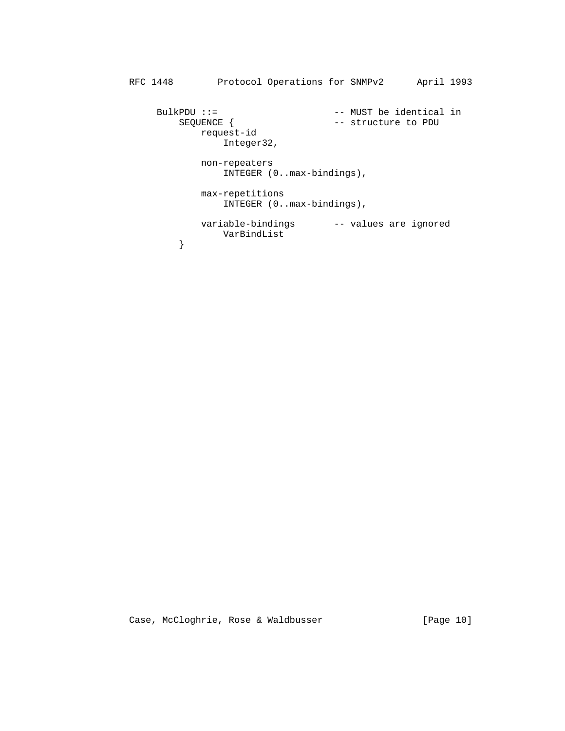```
 RFC 1448 Protocol Operations for SNMPv2 April 1993
BulkPDU ::= -- MUST be identical in
SEQUENCE { -- structure to PDU
             requence {<br>request-id
                     Integer32,
                  non-repeaters
                     INTEGER (0..max-bindings),
                  max-repetitions
                     INTEGER (0..max-bindings),
                 variable-bindings -- values are ignored
              {\tt VarBindList} }
 }
```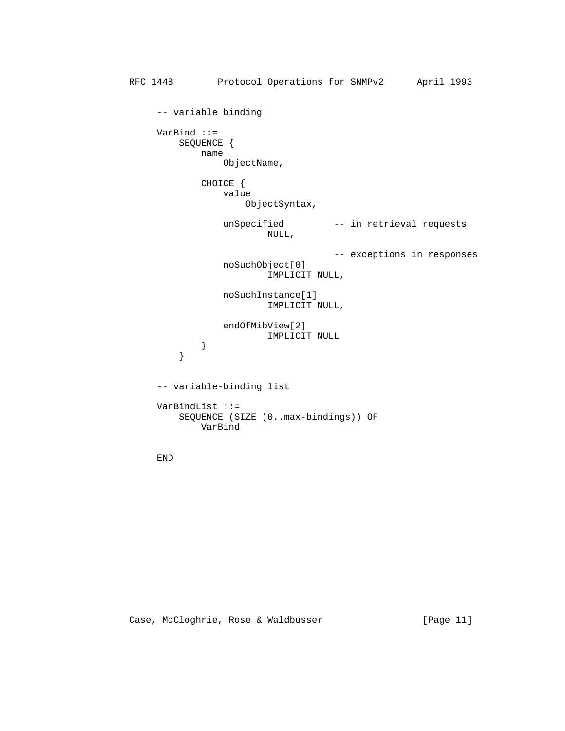```
 RFC 1448 Protocol Operations for SNMPv2 April 1993
                            -- variable binding
                            VarBind ::=
                                   SEQUENCE {
                                           name
                                                   ObjectName,
                                           CHOICE {
                                                  value
                                                          ObjectSyntax,
                                                   unSpecified -- in retrieval requests
                                                                 NULL,
                                                                                       -- exceptions in responses
                                                   noSuchObject[0]
                                                                  IMPLICIT NULL,
                                                   noSuchInstance[1]
                                                                  IMPLICIT NULL,
                                                   endOfMibView[2]
                                         \begin{minipage}{0.2\linewidth} \begin{tabular}{cc} \multicolumn{2}{c}{} & \multicolumn{2}{c}{} & \multicolumn{2}{c}{} \\ \multicolumn{2}{c}{} & \multicolumn{2}{c}{} & \multicolumn{2}{c}{} \\ \multicolumn{2}{c}{} & \multicolumn{2}{c}{} & \multicolumn{2}{c}{} \\ \multicolumn{2}{c}{} & \multicolumn{2}{c}{} & \multicolumn{2}{c}{} \\ \multicolumn{2}{c}{} & \multicolumn{2}{c}{} & \multicolumn{2}{c}{} \\ \multicolumn{2}{c}{} & \multicolumn{2}{c}{} & \multicolumn{2}{c}{} \\ \mult }
 }
                            -- variable-binding list
                            VarBindList ::=
                                    SEQUENCE (SIZE (0..max-bindings)) OF
                                           VarBind
```
END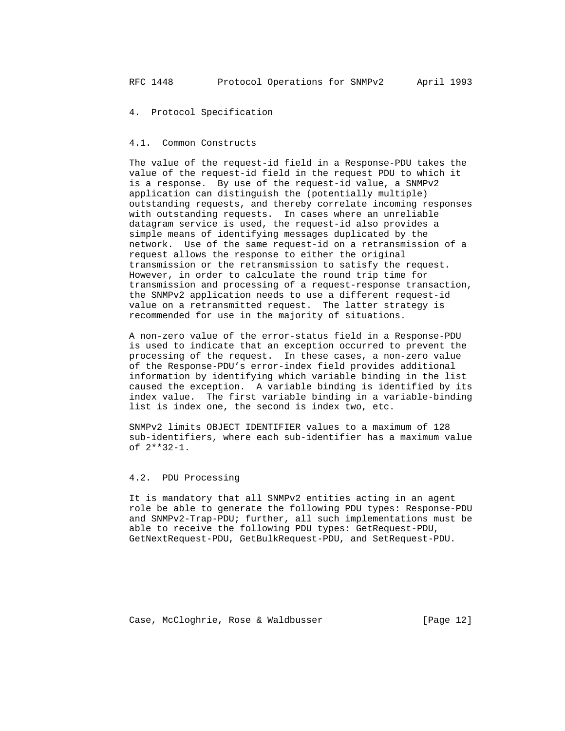4. Protocol Specification

#### 4.1. Common Constructs

 The value of the request-id field in a Response-PDU takes the value of the request-id field in the request PDU to which it is a response. By use of the request-id value, a SNMPv2 application can distinguish the (potentially multiple) outstanding requests, and thereby correlate incoming responses with outstanding requests. In cases where an unreliable datagram service is used, the request-id also provides a simple means of identifying messages duplicated by the network. Use of the same request-id on a retransmission of a request allows the response to either the original transmission or the retransmission to satisfy the request. However, in order to calculate the round trip time for transmission and processing of a request-response transaction, the SNMPv2 application needs to use a different request-id value on a retransmitted request. The latter strategy is recommended for use in the majority of situations.

 A non-zero value of the error-status field in a Response-PDU is used to indicate that an exception occurred to prevent the processing of the request. In these cases, a non-zero value of the Response-PDU's error-index field provides additional information by identifying which variable binding in the list caused the exception. A variable binding is identified by its index value. The first variable binding in a variable-binding list is index one, the second is index two, etc.

 SNMPv2 limits OBJECT IDENTIFIER values to a maximum of 128 sub-identifiers, where each sub-identifier has a maximum value of 2\*\*32-1.

## 4.2. PDU Processing

 It is mandatory that all SNMPv2 entities acting in an agent role be able to generate the following PDU types: Response-PDU and SNMPv2-Trap-PDU; further, all such implementations must be able to receive the following PDU types: GetRequest-PDU, GetNextRequest-PDU, GetBulkRequest-PDU, and SetRequest-PDU.

Case, McCloghrie, Rose & Waldbusser [Page 12]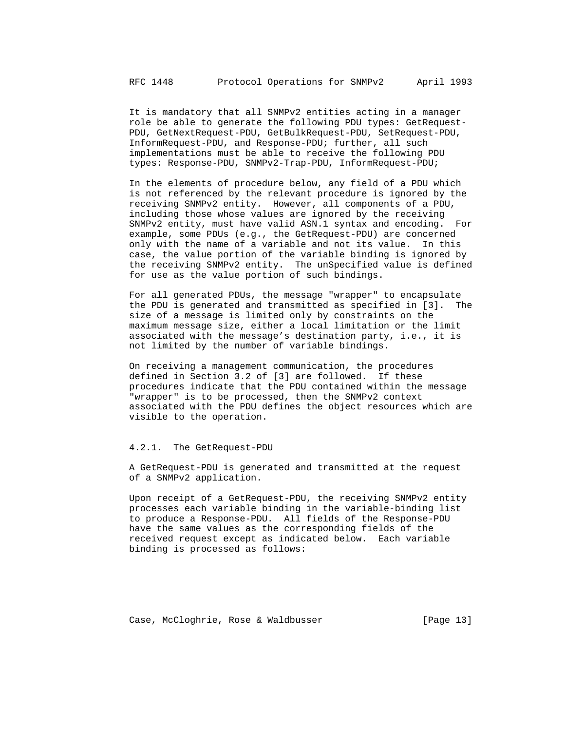It is mandatory that all SNMPv2 entities acting in a manager role be able to generate the following PDU types: GetRequest- PDU, GetNextRequest-PDU, GetBulkRequest-PDU, SetRequest-PDU, InformRequest-PDU, and Response-PDU; further, all such implementations must be able to receive the following PDU types: Response-PDU, SNMPv2-Trap-PDU, InformRequest-PDU;

 In the elements of procedure below, any field of a PDU which is not referenced by the relevant procedure is ignored by the receiving SNMPv2 entity. However, all components of a PDU, including those whose values are ignored by the receiving SNMPv2 entity, must have valid ASN.1 syntax and encoding. For example, some PDUs (e.g., the GetRequest-PDU) are concerned only with the name of a variable and not its value. In this case, the value portion of the variable binding is ignored by the receiving SNMPv2 entity. The unSpecified value is defined for use as the value portion of such bindings.

 For all generated PDUs, the message "wrapper" to encapsulate the PDU is generated and transmitted as specified in [3]. The size of a message is limited only by constraints on the maximum message size, either a local limitation or the limit associated with the message's destination party, i.e., it is not limited by the number of variable bindings.

 On receiving a management communication, the procedures defined in Section 3.2 of [3] are followed. If these procedures indicate that the PDU contained within the message "wrapper" is to be processed, then the SNMPv2 context associated with the PDU defines the object resources which are visible to the operation.

### 4.2.1. The GetRequest-PDU

 A GetRequest-PDU is generated and transmitted at the request of a SNMPv2 application.

 Upon receipt of a GetRequest-PDU, the receiving SNMPv2 entity processes each variable binding in the variable-binding list to produce a Response-PDU. All fields of the Response-PDU have the same values as the corresponding fields of the received request except as indicated below. Each variable binding is processed as follows:

Case, McCloghrie, Rose & Waldbusser [Page 13]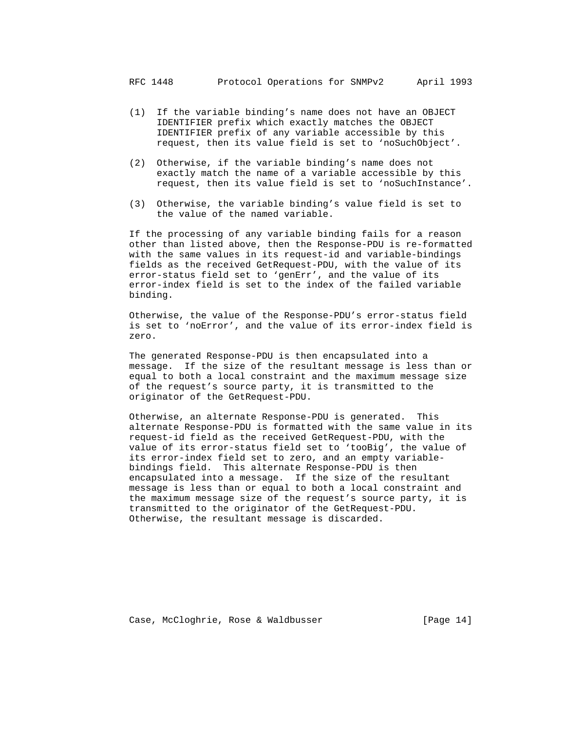- (1) If the variable binding's name does not have an OBJECT IDENTIFIER prefix which exactly matches the OBJECT IDENTIFIER prefix of any variable accessible by this request, then its value field is set to 'noSuchObject'.
- (2) Otherwise, if the variable binding's name does not exactly match the name of a variable accessible by this request, then its value field is set to 'noSuchInstance'.
- (3) Otherwise, the variable binding's value field is set to the value of the named variable.

 If the processing of any variable binding fails for a reason other than listed above, then the Response-PDU is re-formatted with the same values in its request-id and variable-bindings fields as the received GetRequest-PDU, with the value of its error-status field set to 'genErr', and the value of its error-index field is set to the index of the failed variable binding.

 Otherwise, the value of the Response-PDU's error-status field is set to 'noError', and the value of its error-index field is zero.

 The generated Response-PDU is then encapsulated into a message. If the size of the resultant message is less than or equal to both a local constraint and the maximum message size of the request's source party, it is transmitted to the originator of the GetRequest-PDU.

 Otherwise, an alternate Response-PDU is generated. This alternate Response-PDU is formatted with the same value in its request-id field as the received GetRequest-PDU, with the value of its error-status field set to 'tooBig', the value of its error-index field set to zero, and an empty variable bindings field. This alternate Response-PDU is then encapsulated into a message. If the size of the resultant message is less than or equal to both a local constraint and the maximum message size of the request's source party, it is transmitted to the originator of the GetRequest-PDU. Otherwise, the resultant message is discarded.

Case, McCloghrie, Rose & Waldbusser [Page 14]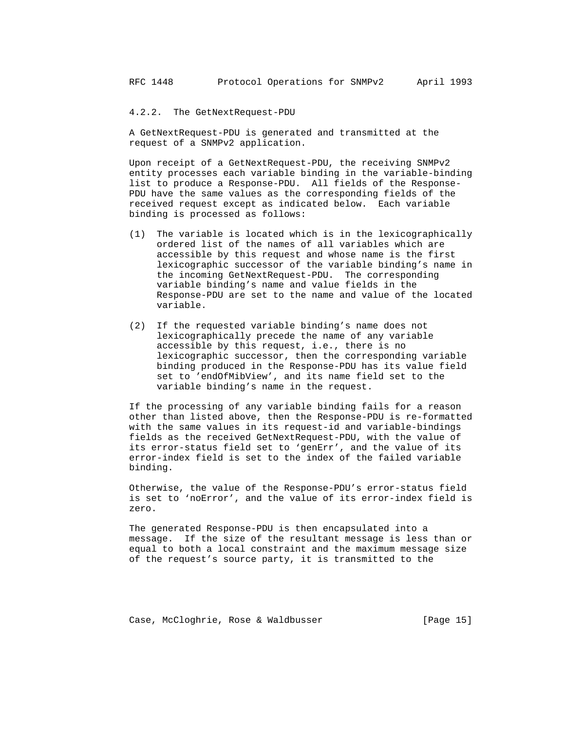### 4.2.2. The GetNextRequest-PDU

 A GetNextRequest-PDU is generated and transmitted at the request of a SNMPv2 application.

 Upon receipt of a GetNextRequest-PDU, the receiving SNMPv2 entity processes each variable binding in the variable-binding list to produce a Response-PDU. All fields of the Response- PDU have the same values as the corresponding fields of the received request except as indicated below. Each variable binding is processed as follows:

- (1) The variable is located which is in the lexicographically ordered list of the names of all variables which are accessible by this request and whose name is the first lexicographic successor of the variable binding's name in the incoming GetNextRequest-PDU. The corresponding variable binding's name and value fields in the Response-PDU are set to the name and value of the located variable.
- (2) If the requested variable binding's name does not lexicographically precede the name of any variable accessible by this request, i.e., there is no lexicographic successor, then the corresponding variable binding produced in the Response-PDU has its value field set to 'endOfMibView', and its name field set to the variable binding's name in the request.

 If the processing of any variable binding fails for a reason other than listed above, then the Response-PDU is re-formatted with the same values in its request-id and variable-bindings fields as the received GetNextRequest-PDU, with the value of its error-status field set to 'genErr', and the value of its error-index field is set to the index of the failed variable binding.

 Otherwise, the value of the Response-PDU's error-status field is set to 'noError', and the value of its error-index field is zero.

 The generated Response-PDU is then encapsulated into a message. If the size of the resultant message is less than or equal to both a local constraint and the maximum message size of the request's source party, it is transmitted to the

Case, McCloghrie, Rose & Waldbusser [Page 15]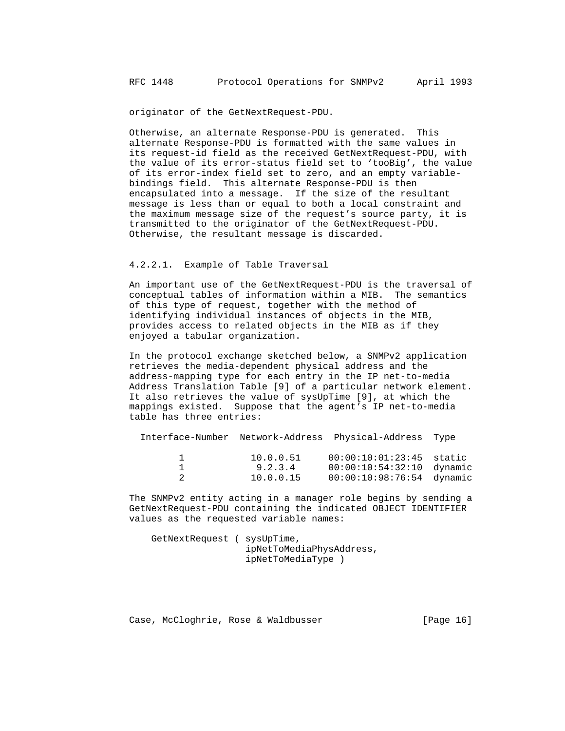originator of the GetNextRequest-PDU.

 Otherwise, an alternate Response-PDU is generated. This alternate Response-PDU is formatted with the same values in its request-id field as the received GetNextRequest-PDU, with the value of its error-status field set to 'tooBig', the value of its error-index field set to zero, and an empty variable bindings field. This alternate Response-PDU is then encapsulated into a message. If the size of the resultant message is less than or equal to both a local constraint and the maximum message size of the request's source party, it is transmitted to the originator of the GetNextRequest-PDU. Otherwise, the resultant message is discarded.

### 4.2.2.1. Example of Table Traversal

 An important use of the GetNextRequest-PDU is the traversal of conceptual tables of information within a MIB. The semantics of this type of request, together with the method of identifying individual instances of objects in the MIB, provides access to related objects in the MIB as if they enjoyed a tabular organization.

 In the protocol exchange sketched below, a SNMPv2 application retrieves the media-dependent physical address and the address-mapping type for each entry in the IP net-to-media Address Translation Table [9] of a particular network element. It also retrieves the value of sysUpTime [9], at which the mappings existed. Suppose that the agent's IP net-to-media table has three entries:

Interface-Number Network-Address Physical-Address Type

| 10.0.0.51 | $00:00:10:01:23:45$ static  |  |
|-----------|-----------------------------|--|
| 9.2.3.4   | $00:00:10:54:32:10$ dynamic |  |
| 10.0.0.15 | 00:00:10:98:76:54 dynamic   |  |

 The SNMPv2 entity acting in a manager role begins by sending a GetNextRequest-PDU containing the indicated OBJECT IDENTIFIER values as the requested variable names:

```
 GetNextRequest ( sysUpTime,
                   ipNetToMediaPhysAddress,
                   ipNetToMediaType )
```
Case, McCloghrie, Rose & Waldbusser (Page 16)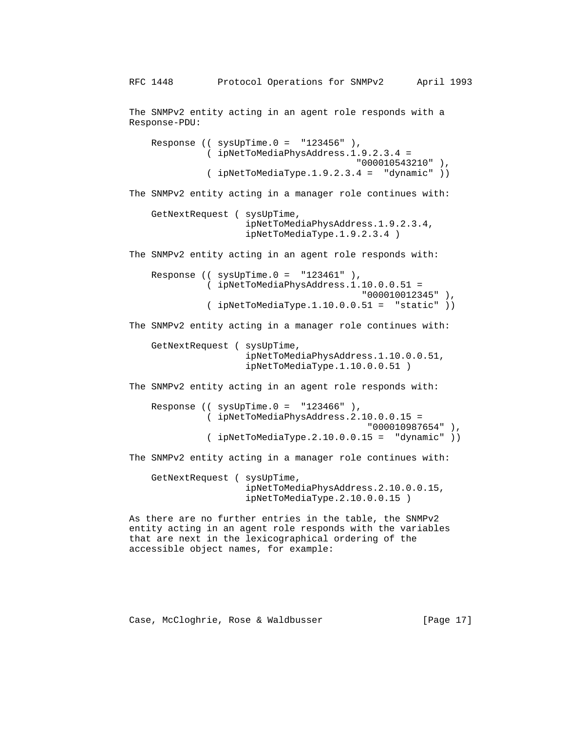The SNMPv2 entity acting in an agent role responds with a Response-PDU: Response  $(($  sysUpTime. $0 =$  "123456"  $),$  ( ipNetToMediaPhysAddress.1.9.2.3.4 = "000010543210" ), ( ipNetToMediaType.1.9.2.3.4 = "dynamic" )) The SNMPv2 entity acting in a manager role continues with: GetNextRequest ( sysUpTime, ipNetToMediaPhysAddress.1.9.2.3.4, ipNetToMediaType.1.9.2.3.4 ) The SNMPv2 entity acting in an agent role responds with: Response (( $sysUpTime.0 = "123461"$ ), ( ipNetToMediaPhysAddress.1.10.0.0.51 = "000010012345" ), ( ipNetToMediaType.1.10.0.0.51 = "static" )) The SNMPv2 entity acting in a manager role continues with: GetNextRequest ( sysUpTime, ipNetToMediaPhysAddress.1.10.0.0.51, ipNetToMediaType.1.10.0.0.51 ) The SNMPv2 entity acting in an agent role responds with: Response (( $sysUpTime.0 = "123466"$ ), ( ipNetToMediaPhysAddress.2.10.0.0.15 = "000010987654" ), ( ipNetToMediaType.2.10.0.0.15 = "dynamic" )) The SNMPv2 entity acting in a manager role continues with: GetNextRequest ( sysUpTime, ipNetToMediaPhysAddress.2.10.0.0.15, ipNetToMediaType.2.10.0.0.15 ) As there are no further entries in the table, the SNMPv2 entity acting in an agent role responds with the variables that are next in the lexicographical ordering of the

Case, McCloghrie, Rose & Waldbusser (Page 17)

accessible object names, for example: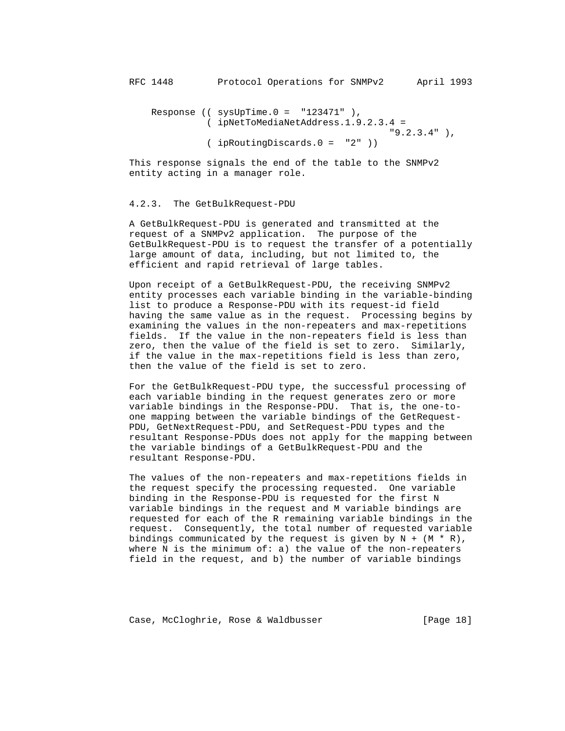Response  $(($  sysUpTime. $0 =$  "123471"  $),$  ( ipNetToMediaNetAddress.1.9.2.3.4 = "9.2.3.4" ), ( ipRoutingDiscards.0 = "2" ))

 This response signals the end of the table to the SNMPv2 entity acting in a manager role.

#### 4.2.3. The GetBulkRequest-PDU

 A GetBulkRequest-PDU is generated and transmitted at the request of a SNMPv2 application. The purpose of the GetBulkRequest-PDU is to request the transfer of a potentially large amount of data, including, but not limited to, the efficient and rapid retrieval of large tables.

 Upon receipt of a GetBulkRequest-PDU, the receiving SNMPv2 entity processes each variable binding in the variable-binding list to produce a Response-PDU with its request-id field having the same value as in the request. Processing begins by examining the values in the non-repeaters and max-repetitions fields. If the value in the non-repeaters field is less than zero, then the value of the field is set to zero. Similarly, if the value in the max-repetitions field is less than zero, then the value of the field is set to zero.

 For the GetBulkRequest-PDU type, the successful processing of each variable binding in the request generates zero or more variable bindings in the Response-PDU. That is, the one-to one mapping between the variable bindings of the GetRequest- PDU, GetNextRequest-PDU, and SetRequest-PDU types and the resultant Response-PDUs does not apply for the mapping between the variable bindings of a GetBulkRequest-PDU and the resultant Response-PDU.

 The values of the non-repeaters and max-repetitions fields in the request specify the processing requested. One variable binding in the Response-PDU is requested for the first N variable bindings in the request and M variable bindings are requested for each of the R remaining variable bindings in the request. Consequently, the total number of requested variable bindings communicated by the request is given by  $N + (M * R)$ , where  $N$  is the minimum of: a) the value of the non-repeaters field in the request, and b) the number of variable bindings

Case, McCloghrie, Rose & Waldbusser [Page 18]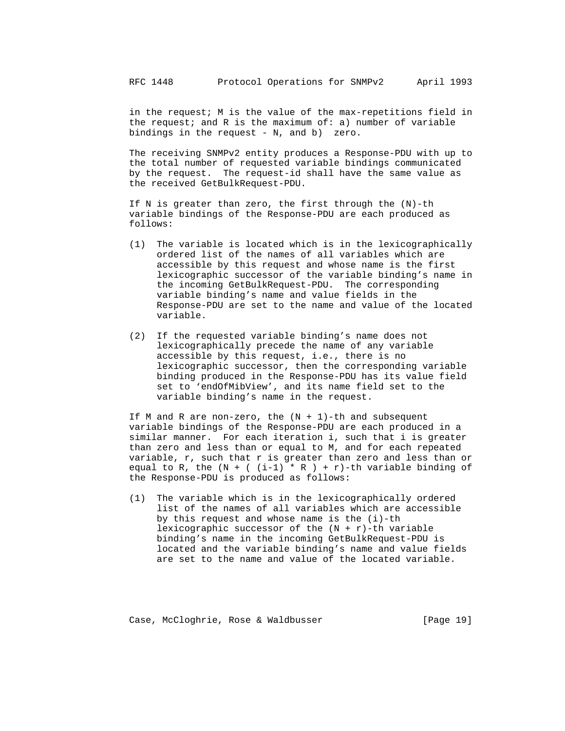in the request; M is the value of the max-repetitions field in the request; and R is the maximum of: a) number of variable bindings in the request - N, and b) zero.

 The receiving SNMPv2 entity produces a Response-PDU with up to the total number of requested variable bindings communicated by the request. The request-id shall have the same value as the received GetBulkRequest-PDU.

 If N is greater than zero, the first through the (N)-th variable bindings of the Response-PDU are each produced as follows:

- (1) The variable is located which is in the lexicographically ordered list of the names of all variables which are accessible by this request and whose name is the first lexicographic successor of the variable binding's name in the incoming GetBulkRequest-PDU. The corresponding variable binding's name and value fields in the Response-PDU are set to the name and value of the located variable.
- (2) If the requested variable binding's name does not lexicographically precede the name of any variable accessible by this request, i.e., there is no lexicographic successor, then the corresponding variable binding produced in the Response-PDU has its value field set to 'endOfMibView', and its name field set to the variable binding's name in the request.

If M and R are non-zero, the  $(N + 1)$ -th and subsequent variable bindings of the Response-PDU are each produced in a similar manner. For each iteration i, such that i is greater than zero and less than or equal to M, and for each repeated variable, r, such that r is greater than zero and less than or equal to R, the  $(N + (i-1) * R) + r$ ) -th variable binding of the Response-PDU is produced as follows:

 (1) The variable which is in the lexicographically ordered list of the names of all variables which are accessible by this request and whose name is the (i)-th lexicographic successor of the  $(N + r)$ -th variable binding's name in the incoming GetBulkRequest-PDU is located and the variable binding's name and value fields are set to the name and value of the located variable.

Case, McCloghrie, Rose & Waldbusser (Page 19)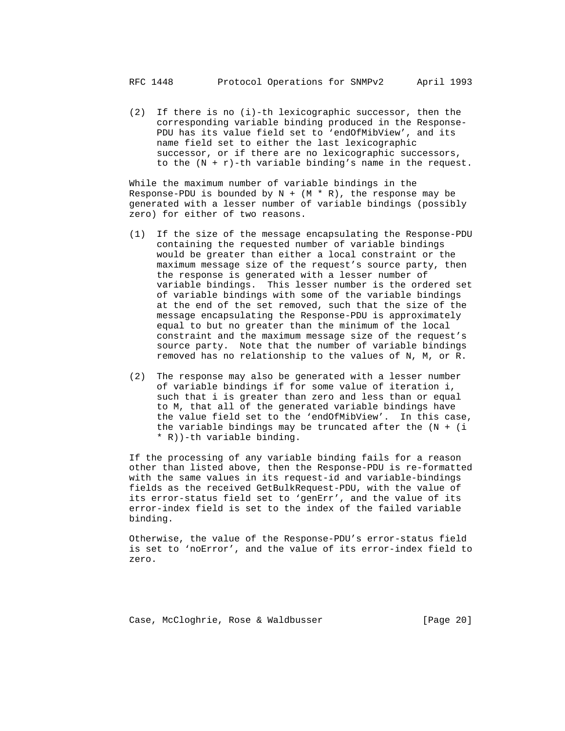(2) If there is no (i)-th lexicographic successor, then the corresponding variable binding produced in the Response- PDU has its value field set to 'endOfMibView', and its name field set to either the last lexicographic successor, or if there are no lexicographic successors, to the  $(N + r)$ -th variable binding's name in the request.

 While the maximum number of variable bindings in the Response-PDU is bounded by  $N + (M * R)$ , the response may be generated with a lesser number of variable bindings (possibly zero) for either of two reasons.

- (1) If the size of the message encapsulating the Response-PDU containing the requested number of variable bindings would be greater than either a local constraint or the maximum message size of the request's source party, then the response is generated with a lesser number of variable bindings. This lesser number is the ordered set of variable bindings with some of the variable bindings at the end of the set removed, such that the size of the message encapsulating the Response-PDU is approximately equal to but no greater than the minimum of the local constraint and the maximum message size of the request's source party. Note that the number of variable bindings removed has no relationship to the values of N, M, or R.
- (2) The response may also be generated with a lesser number of variable bindings if for some value of iteration i, such that i is greater than zero and less than or equal to M, that all of the generated variable bindings have the value field set to the 'endOfMibView'. In this case, the variable bindings may be truncated after the  $(N + i)$ \* R))-th variable binding.

 If the processing of any variable binding fails for a reason other than listed above, then the Response-PDU is re-formatted with the same values in its request-id and variable-bindings fields as the received GetBulkRequest-PDU, with the value of its error-status field set to 'genErr', and the value of its error-index field is set to the index of the failed variable binding.

 Otherwise, the value of the Response-PDU's error-status field is set to 'noError', and the value of its error-index field to zero.

Case, McCloghrie, Rose & Waldbusser (Page 20)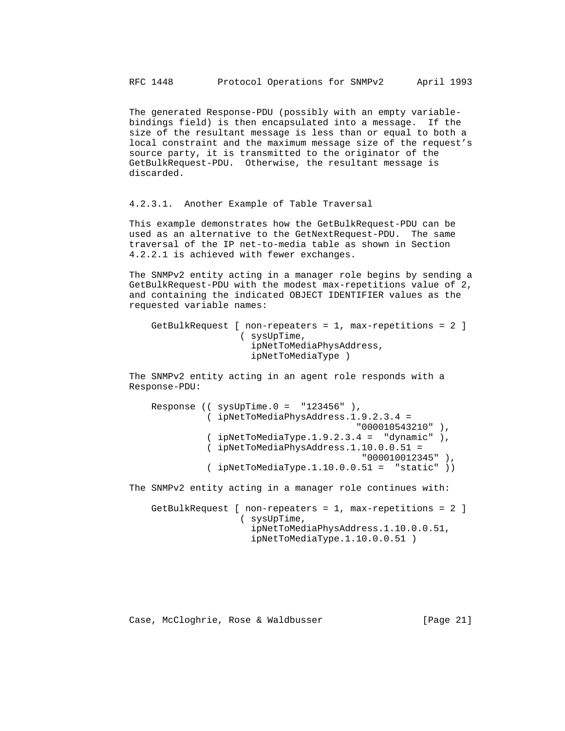The generated Response-PDU (possibly with an empty variable bindings field) is then encapsulated into a message. If the size of the resultant message is less than or equal to both a local constraint and the maximum message size of the request's source party, it is transmitted to the originator of the GetBulkRequest-PDU. Otherwise, the resultant message is discarded.

4.2.3.1. Another Example of Table Traversal

 This example demonstrates how the GetBulkRequest-PDU can be used as an alternative to the GetNextRequest-PDU. The same traversal of the IP net-to-media table as shown in Section 4.2.2.1 is achieved with fewer exchanges.

 The SNMPv2 entity acting in a manager role begins by sending a GetBulkRequest-PDU with the modest max-repetitions value of 2, and containing the indicated OBJECT IDENTIFIER values as the requested variable names:

```
 GetBulkRequest [ non-repeaters = 1, max-repetitions = 2 ]
                  ( sysUpTime,
                    ipNetToMediaPhysAddress,
                    ipNetToMediaType )
```
 The SNMPv2 entity acting in an agent role responds with a Response-PDU:

```
Response ((sysUpTime.0 = "123456"),
               ( ipNetToMediaPhysAddress.1.9.2.3.4 =
                                          "000010543210" ),
              ( ipNetToMediaType.1.9.2.3.4 = "dynamic" ), ( ipNetToMediaPhysAddress.1.10.0.0.51 =
                                            "000010012345" ),
               ( ipNetToMediaType.1.10.0.0.51 = "static" ))
 The SNMPv2 entity acting in a manager role continues with:
```
 GetBulkRequest [ non-repeaters = 1, max-repetitions = 2 ] ( sysUpTime, ipNetToMediaPhysAddress.1.10.0.0.51, ipNetToMediaType.1.10.0.0.51 )

Case, McCloghrie, Rose & Waldbusser (Page 21)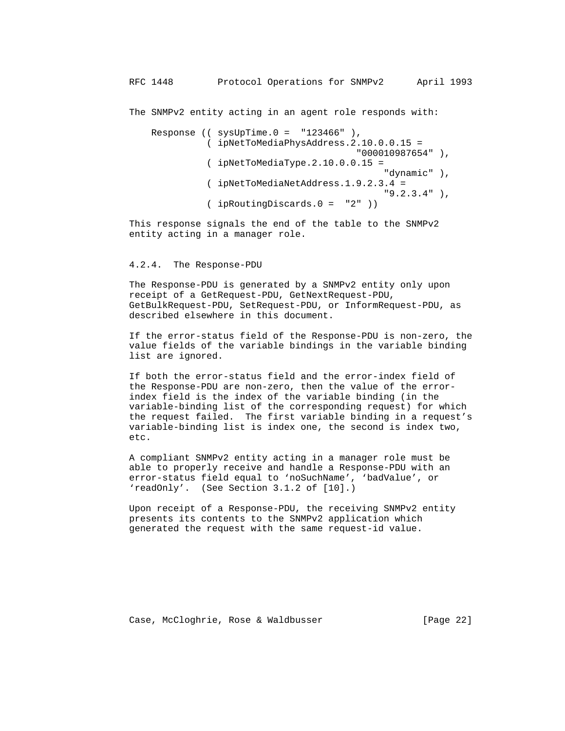The SNMPv2 entity acting in an agent role responds with:

Response (( $sysUpTime.0 = "123466"$ ), ( ipNetToMediaPhysAddress.2.10.0.0.15 = "000010987654" ), ( ipNetToMediaType.2.10.0.0.15 = "dynamic" ), ( ipNetToMediaNetAddress.1.9.2.3.4 = "9.2.3.4" ), ( ipRoutingDiscards.0 = "2" ))

 This response signals the end of the table to the SNMPv2 entity acting in a manager role.

## 4.2.4. The Response-PDU

 The Response-PDU is generated by a SNMPv2 entity only upon receipt of a GetRequest-PDU, GetNextRequest-PDU, GetBulkRequest-PDU, SetRequest-PDU, or InformRequest-PDU, as described elsewhere in this document.

 If the error-status field of the Response-PDU is non-zero, the value fields of the variable bindings in the variable binding list are ignored.

 If both the error-status field and the error-index field of the Response-PDU are non-zero, then the value of the error index field is the index of the variable binding (in the variable-binding list of the corresponding request) for which the request failed. The first variable binding in a request's variable-binding list is index one, the second is index two, etc.

 A compliant SNMPv2 entity acting in a manager role must be able to properly receive and handle a Response-PDU with an error-status field equal to 'noSuchName', 'badValue', or 'readOnly'. (See Section 3.1.2 of [10].)

 Upon receipt of a Response-PDU, the receiving SNMPv2 entity presents its contents to the SNMPv2 application which generated the request with the same request-id value.

Case, McCloghrie, Rose & Waldbusser [Page 22]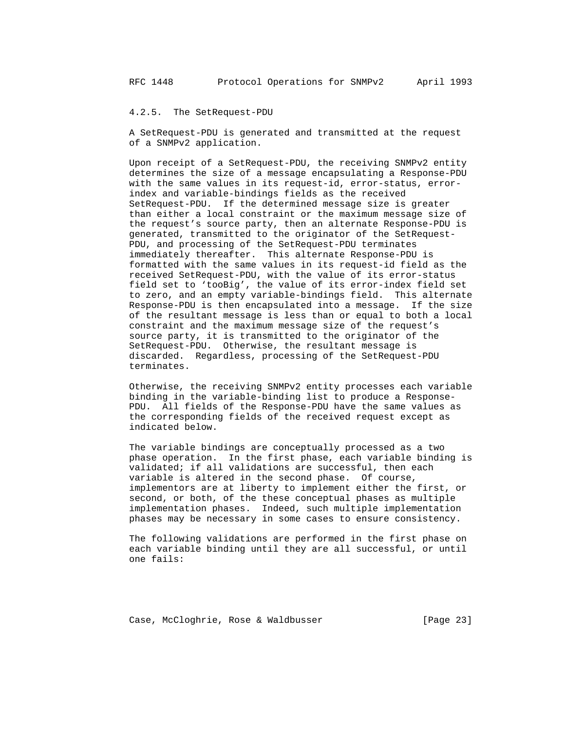### 4.2.5. The SetRequest-PDU

 A SetRequest-PDU is generated and transmitted at the request of a SNMPv2 application.

 Upon receipt of a SetRequest-PDU, the receiving SNMPv2 entity determines the size of a message encapsulating a Response-PDU with the same values in its request-id, error-status, error index and variable-bindings fields as the received SetRequest-PDU. If the determined message size is greater than either a local constraint or the maximum message size of the request's source party, then an alternate Response-PDU is generated, transmitted to the originator of the SetRequest- PDU, and processing of the SetRequest-PDU terminates immediately thereafter. This alternate Response-PDU is formatted with the same values in its request-id field as the received SetRequest-PDU, with the value of its error-status field set to 'tooBig', the value of its error-index field set to zero, and an empty variable-bindings field. This alternate Response-PDU is then encapsulated into a message. If the size of the resultant message is less than or equal to both a local constraint and the maximum message size of the request's source party, it is transmitted to the originator of the SetRequest-PDU. Otherwise, the resultant message is discarded. Regardless, processing of the SetRequest-PDU terminates.

 Otherwise, the receiving SNMPv2 entity processes each variable binding in the variable-binding list to produce a Response- PDU. All fields of the Response-PDU have the same values as the corresponding fields of the received request except as indicated below.

 The variable bindings are conceptually processed as a two phase operation. In the first phase, each variable binding is validated; if all validations are successful, then each variable is altered in the second phase. Of course, implementors are at liberty to implement either the first, or second, or both, of the these conceptual phases as multiple implementation phases. Indeed, such multiple implementation phases may be necessary in some cases to ensure consistency.

 The following validations are performed in the first phase on each variable binding until they are all successful, or until one fails:

Case, McCloghrie, Rose & Waldbusser [Page 23]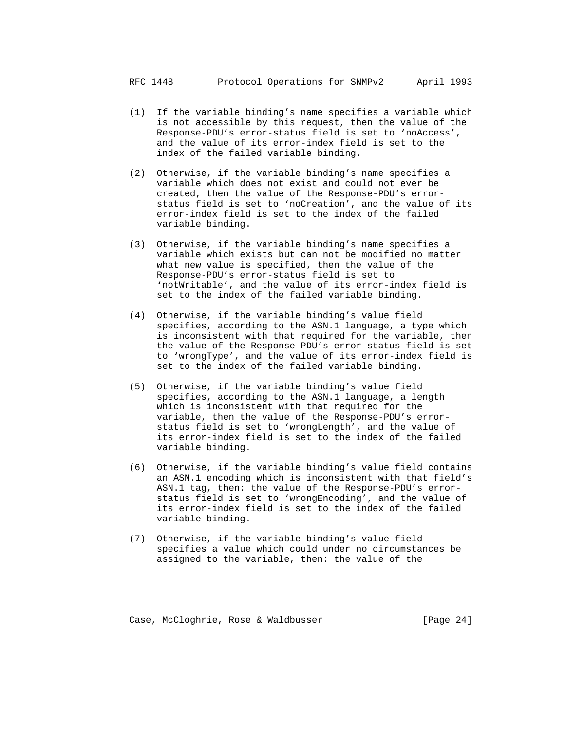- (1) If the variable binding's name specifies a variable which is not accessible by this request, then the value of the Response-PDU's error-status field is set to 'noAccess', and the value of its error-index field is set to the index of the failed variable binding.
- (2) Otherwise, if the variable binding's name specifies a variable which does not exist and could not ever be created, then the value of the Response-PDU's error status field is set to 'noCreation', and the value of its error-index field is set to the index of the failed variable binding.
- (3) Otherwise, if the variable binding's name specifies a variable which exists but can not be modified no matter what new value is specified, then the value of the Response-PDU's error-status field is set to 'notWritable', and the value of its error-index field is set to the index of the failed variable binding.
- (4) Otherwise, if the variable binding's value field specifies, according to the ASN.1 language, a type which is inconsistent with that required for the variable, then the value of the Response-PDU's error-status field is set to 'wrongType', and the value of its error-index field is set to the index of the failed variable binding.
- (5) Otherwise, if the variable binding's value field specifies, according to the ASN.1 language, a length which is inconsistent with that required for the variable, then the value of the Response-PDU's error status field is set to 'wrongLength', and the value of its error-index field is set to the index of the failed variable binding.
- (6) Otherwise, if the variable binding's value field contains an ASN.1 encoding which is inconsistent with that field's ASN.1 tag, then: the value of the Response-PDU's error status field is set to 'wrongEncoding', and the value of its error-index field is set to the index of the failed variable binding.
- (7) Otherwise, if the variable binding's value field specifies a value which could under no circumstances be assigned to the variable, then: the value of the

Case, McCloghrie, Rose & Waldbusser (Page 24)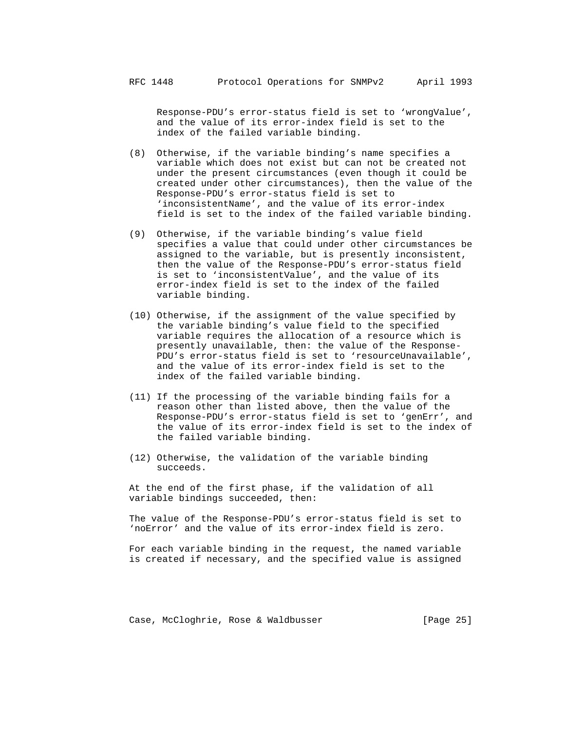Response-PDU's error-status field is set to 'wrongValue', and the value of its error-index field is set to the index of the failed variable binding.

- (8) Otherwise, if the variable binding's name specifies a variable which does not exist but can not be created not under the present circumstances (even though it could be created under other circumstances), then the value of the Response-PDU's error-status field is set to 'inconsistentName', and the value of its error-index field is set to the index of the failed variable binding.
- (9) Otherwise, if the variable binding's value field specifies a value that could under other circumstances be assigned to the variable, but is presently inconsistent, then the value of the Response-PDU's error-status field is set to 'inconsistentValue', and the value of its error-index field is set to the index of the failed variable binding.
- (10) Otherwise, if the assignment of the value specified by the variable binding's value field to the specified variable requires the allocation of a resource which is presently unavailable, then: the value of the Response- PDU's error-status field is set to 'resourceUnavailable', and the value of its error-index field is set to the index of the failed variable binding.
- (11) If the processing of the variable binding fails for a reason other than listed above, then the value of the Response-PDU's error-status field is set to 'genErr', and the value of its error-index field is set to the index of the failed variable binding.
- (12) Otherwise, the validation of the variable binding succeeds.

 At the end of the first phase, if the validation of all variable bindings succeeded, then:

 The value of the Response-PDU's error-status field is set to 'noError' and the value of its error-index field is zero.

 For each variable binding in the request, the named variable is created if necessary, and the specified value is assigned

Case, McCloghrie, Rose & Waldbusser [Page 25]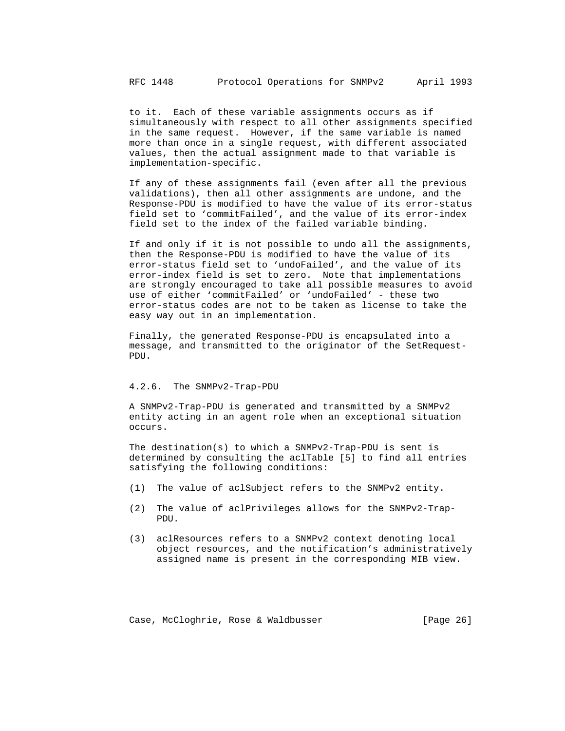to it. Each of these variable assignments occurs as if simultaneously with respect to all other assignments specified in the same request. However, if the same variable is named more than once in a single request, with different associated values, then the actual assignment made to that variable is implementation-specific.

 If any of these assignments fail (even after all the previous validations), then all other assignments are undone, and the Response-PDU is modified to have the value of its error-status field set to 'commitFailed', and the value of its error-index field set to the index of the failed variable binding.

 If and only if it is not possible to undo all the assignments, then the Response-PDU is modified to have the value of its error-status field set to 'undoFailed', and the value of its error-index field is set to zero. Note that implementations are strongly encouraged to take all possible measures to avoid use of either 'commitFailed' or 'undoFailed' - these two error-status codes are not to be taken as license to take the easy way out in an implementation.

 Finally, the generated Response-PDU is encapsulated into a message, and transmitted to the originator of the SetRequest- PDU.

#### 4.2.6. The SNMPv2-Trap-PDU

 A SNMPv2-Trap-PDU is generated and transmitted by a SNMPv2 entity acting in an agent role when an exceptional situation occurs.

 The destination(s) to which a SNMPv2-Trap-PDU is sent is determined by consulting the aclTable [5] to find all entries satisfying the following conditions:

- (1) The value of aclSubject refers to the SNMPv2 entity.
- (2) The value of aclPrivileges allows for the SNMPv2-Trap- PDU.
- (3) aclResources refers to a SNMPv2 context denoting local object resources, and the notification's administratively assigned name is present in the corresponding MIB view.

Case, McCloghrie, Rose & Waldbusser [Page 26]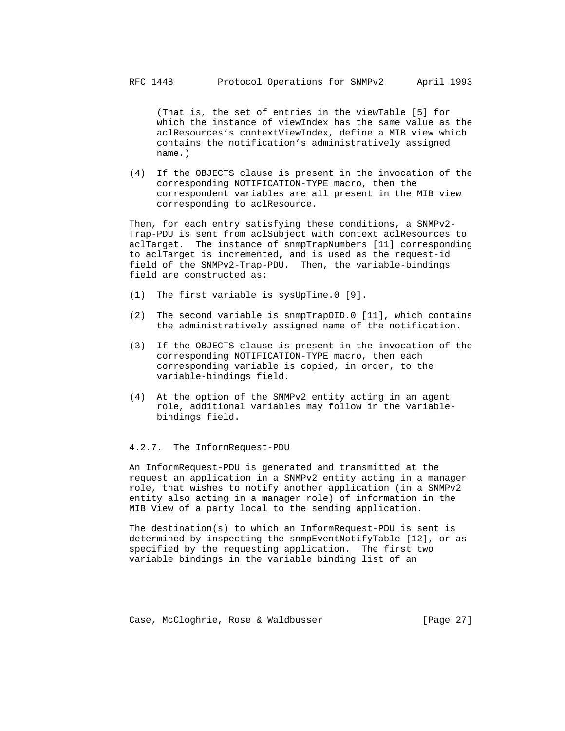(That is, the set of entries in the viewTable [5] for which the instance of viewIndex has the same value as the aclResources's contextViewIndex, define a MIB view which contains the notification's administratively assigned name.)

 (4) If the OBJECTS clause is present in the invocation of the corresponding NOTIFICATION-TYPE macro, then the correspondent variables are all present in the MIB view corresponding to aclResource.

 Then, for each entry satisfying these conditions, a SNMPv2- Trap-PDU is sent from aclSubject with context aclResources to aclTarget. The instance of snmpTrapNumbers [11] corresponding to aclTarget is incremented, and is used as the request-id field of the SNMPv2-Trap-PDU. Then, the variable-bindings field are constructed as:

- (1) The first variable is sysUpTime.0 [9].
- (2) The second variable is snmpTrapOID.0 [11], which contains the administratively assigned name of the notification.
- (3) If the OBJECTS clause is present in the invocation of the corresponding NOTIFICATION-TYPE macro, then each corresponding variable is copied, in order, to the variable-bindings field.
- (4) At the option of the SNMPv2 entity acting in an agent role, additional variables may follow in the variable bindings field.

#### 4.2.7. The InformRequest-PDU

 An InformRequest-PDU is generated and transmitted at the request an application in a SNMPv2 entity acting in a manager role, that wishes to notify another application (in a SNMPv2 entity also acting in a manager role) of information in the MIB View of a party local to the sending application.

 The destination(s) to which an InformRequest-PDU is sent is determined by inspecting the snmpEventNotifyTable [12], or as specified by the requesting application. The first two variable bindings in the variable binding list of an

Case, McCloghrie, Rose & Waldbusser [Page 27]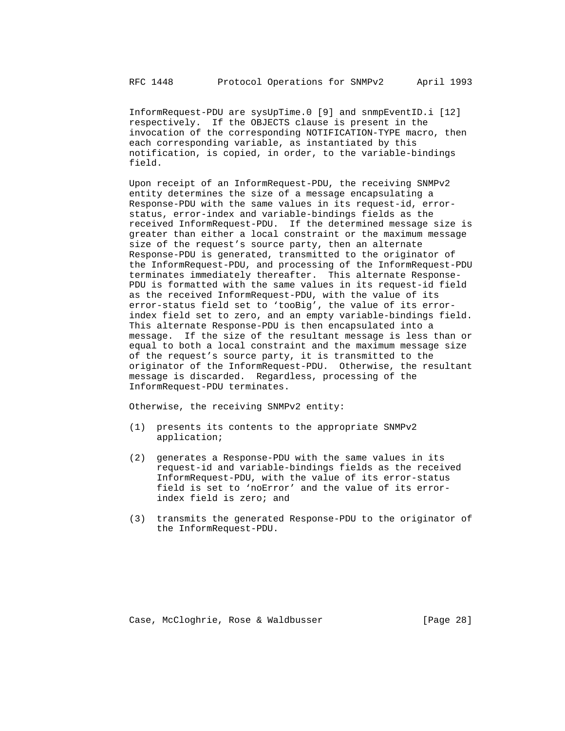InformRequest-PDU are sysUpTime.0 [9] and snmpEventID.i [12] respectively. If the OBJECTS clause is present in the invocation of the corresponding NOTIFICATION-TYPE macro, then each corresponding variable, as instantiated by this notification, is copied, in order, to the variable-bindings field.

 Upon receipt of an InformRequest-PDU, the receiving SNMPv2 entity determines the size of a message encapsulating a Response-PDU with the same values in its request-id, error status, error-index and variable-bindings fields as the received InformRequest-PDU. If the determined message size is greater than either a local constraint or the maximum message size of the request's source party, then an alternate Response-PDU is generated, transmitted to the originator of the InformRequest-PDU, and processing of the InformRequest-PDU terminates immediately thereafter. This alternate Response- PDU is formatted with the same values in its request-id field as the received InformRequest-PDU, with the value of its error-status field set to 'tooBig', the value of its error index field set to zero, and an empty variable-bindings field. This alternate Response-PDU is then encapsulated into a message. If the size of the resultant message is less than or equal to both a local constraint and the maximum message size of the request's source party, it is transmitted to the originator of the InformRequest-PDU. Otherwise, the resultant message is discarded. Regardless, processing of the InformRequest-PDU terminates.

Otherwise, the receiving SNMPv2 entity:

- (1) presents its contents to the appropriate SNMPv2 application;
- (2) generates a Response-PDU with the same values in its request-id and variable-bindings fields as the received InformRequest-PDU, with the value of its error-status field is set to 'noError' and the value of its error index field is zero; and
- (3) transmits the generated Response-PDU to the originator of the InformRequest-PDU.

Case, McCloghrie, Rose & Waldbusser [Page 28]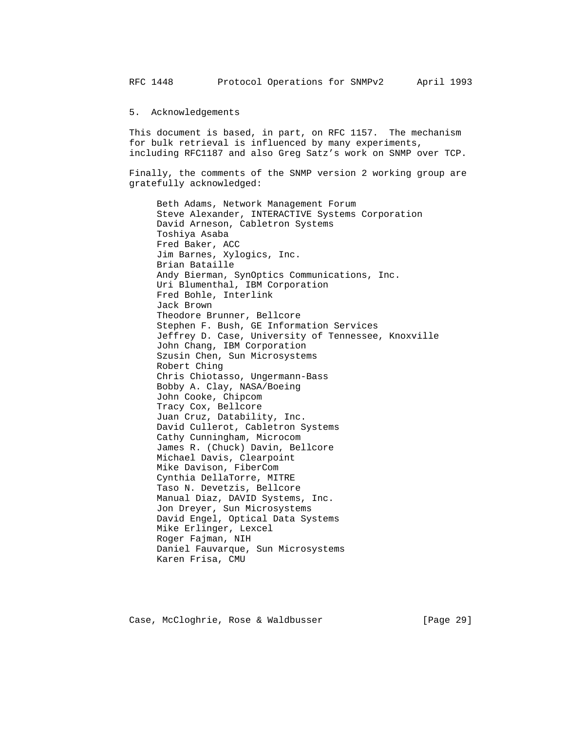RFC 1448 Protocol Operations for SNMPv2 April 1993

5. Acknowledgements

 This document is based, in part, on RFC 1157. The mechanism for bulk retrieval is influenced by many experiments, including RFC1187 and also Greg Satz's work on SNMP over TCP.

 Finally, the comments of the SNMP version 2 working group are gratefully acknowledged:

 Beth Adams, Network Management Forum Steve Alexander, INTERACTIVE Systems Corporation David Arneson, Cabletron Systems Toshiya Asaba Fred Baker, ACC Jim Barnes, Xylogics, Inc. Brian Bataille Andy Bierman, SynOptics Communications, Inc. Uri Blumenthal, IBM Corporation Fred Bohle, Interlink Jack Brown Theodore Brunner, Bellcore Stephen F. Bush, GE Information Services Jeffrey D. Case, University of Tennessee, Knoxville John Chang, IBM Corporation Szusin Chen, Sun Microsystems Robert Ching Chris Chiotasso, Ungermann-Bass Bobby A. Clay, NASA/Boeing John Cooke, Chipcom Tracy Cox, Bellcore Juan Cruz, Datability, Inc. David Cullerot, Cabletron Systems Cathy Cunningham, Microcom James R. (Chuck) Davin, Bellcore Michael Davis, Clearpoint Mike Davison, FiberCom Cynthia DellaTorre, MITRE Taso N. Devetzis, Bellcore Manual Diaz, DAVID Systems, Inc. Jon Dreyer, Sun Microsystems David Engel, Optical Data Systems Mike Erlinger, Lexcel Roger Fajman, NIH Daniel Fauvarque, Sun Microsystems Karen Frisa, CMU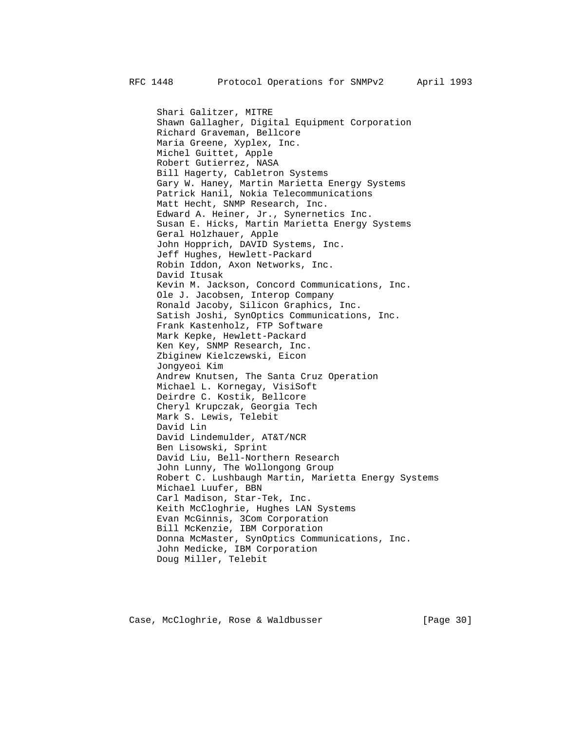Shari Galitzer, MITRE Shawn Gallagher, Digital Equipment Corporation Richard Graveman, Bellcore Maria Greene, Xyplex, Inc. Michel Guittet, Apple Robert Gutierrez, NASA Bill Hagerty, Cabletron Systems Gary W. Haney, Martin Marietta Energy Systems Patrick Hanil, Nokia Telecommunications Matt Hecht, SNMP Research, Inc. Edward A. Heiner, Jr., Synernetics Inc. Susan E. Hicks, Martin Marietta Energy Systems Geral Holzhauer, Apple John Hopprich, DAVID Systems, Inc. Jeff Hughes, Hewlett-Packard Robin Iddon, Axon Networks, Inc. David Itusak Kevin M. Jackson, Concord Communications, Inc. Ole J. Jacobsen, Interop Company Ronald Jacoby, Silicon Graphics, Inc. Satish Joshi, SynOptics Communications, Inc. Frank Kastenholz, FTP Software Mark Kepke, Hewlett-Packard Ken Key, SNMP Research, Inc. Zbiginew Kielczewski, Eicon Jongyeoi Kim Andrew Knutsen, The Santa Cruz Operation Michael L. Kornegay, VisiSoft Deirdre C. Kostik, Bellcore Cheryl Krupczak, Georgia Tech Mark S. Lewis, Telebit David Lin David Lindemulder, AT&T/NCR Ben Lisowski, Sprint David Liu, Bell-Northern Research John Lunny, The Wollongong Group Robert C. Lushbaugh Martin, Marietta Energy Systems Michael Luufer, BBN Carl Madison, Star-Tek, Inc. Keith McCloghrie, Hughes LAN Systems Evan McGinnis, 3Com Corporation Bill McKenzie, IBM Corporation Donna McMaster, SynOptics Communications, Inc. John Medicke, IBM Corporation Doug Miller, Telebit

Case, McCloghrie, Rose & Waldbusser [Page 30]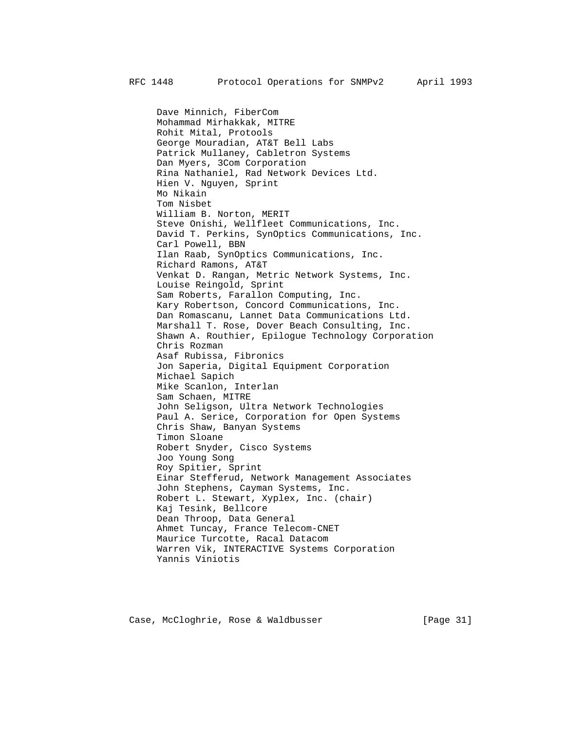Dave Minnich, FiberCom Mohammad Mirhakkak, MITRE Rohit Mital, Protools George Mouradian, AT&T Bell Labs Patrick Mullaney, Cabletron Systems Dan Myers, 3Com Corporation Rina Nathaniel, Rad Network Devices Ltd. Hien V. Nguyen, Sprint Mo Nikain Tom Nisbet William B. Norton, MERIT Steve Onishi, Wellfleet Communications, Inc. David T. Perkins, SynOptics Communications, Inc. Carl Powell, BBN Ilan Raab, SynOptics Communications, Inc. Richard Ramons, AT&T Venkat D. Rangan, Metric Network Systems, Inc. Louise Reingold, Sprint Sam Roberts, Farallon Computing, Inc. Kary Robertson, Concord Communications, Inc. Dan Romascanu, Lannet Data Communications Ltd. Marshall T. Rose, Dover Beach Consulting, Inc. Shawn A. Routhier, Epilogue Technology Corporation Chris Rozman Asaf Rubissa, Fibronics Jon Saperia, Digital Equipment Corporation Michael Sapich Mike Scanlon, Interlan Sam Schaen, MITRE John Seligson, Ultra Network Technologies Paul A. Serice, Corporation for Open Systems Chris Shaw, Banyan Systems Timon Sloane Robert Snyder, Cisco Systems Joo Young Song Roy Spitier, Sprint Einar Stefferud, Network Management Associates John Stephens, Cayman Systems, Inc. Robert L. Stewart, Xyplex, Inc. (chair) Kaj Tesink, Bellcore Dean Throop, Data General Ahmet Tuncay, France Telecom-CNET Maurice Turcotte, Racal Datacom Warren Vik, INTERACTIVE Systems Corporation Yannis Viniotis

Case, McCloghrie, Rose & Waldbusser [Page 31]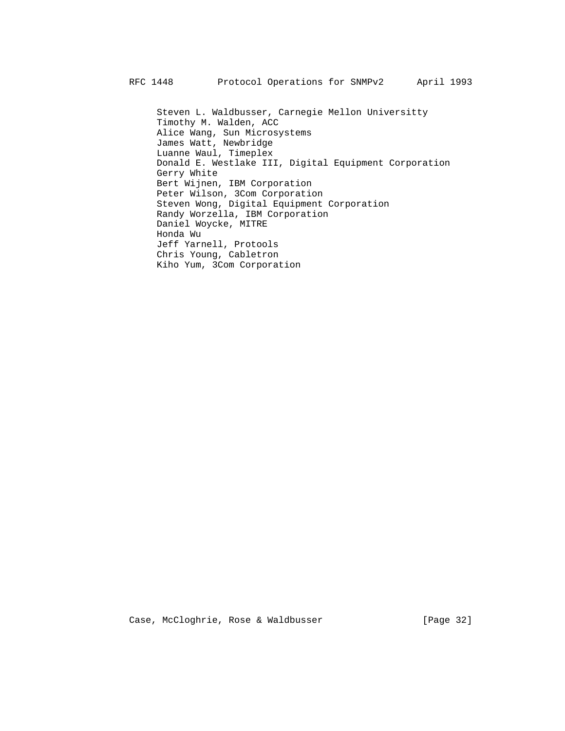Steven L. Waldbusser, Carnegie Mellon Universitty Timothy M. Walden, ACC Alice Wang, Sun Microsystems James Watt, Newbridge Luanne Waul, Timeplex Donald E. Westlake III, Digital Equipment Corporation Gerry White Bert Wijnen, IBM Corporation Peter Wilson, 3Com Corporation Steven Wong, Digital Equipment Corporation Randy Worzella, IBM Corporation Daniel Woycke, MITRE Honda Wu Jeff Yarnell, Protools Chris Young, Cabletron Kiho Yum, 3Com Corporation

Case, McCloghrie, Rose & Waldbusser [Page 32]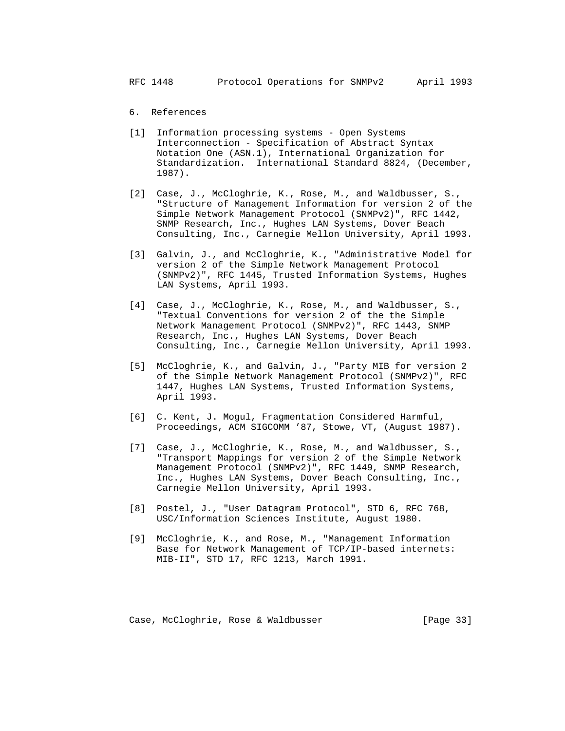# 6. References

- [1] Information processing systems Open Systems Interconnection - Specification of Abstract Syntax Notation One (ASN.1), International Organization for Standardization. International Standard 8824, (December, 1987).
- [2] Case, J., McCloghrie, K., Rose, M., and Waldbusser, S., "Structure of Management Information for version 2 of the Simple Network Management Protocol (SNMPv2)", RFC 1442, SNMP Research, Inc., Hughes LAN Systems, Dover Beach Consulting, Inc., Carnegie Mellon University, April 1993.
- [3] Galvin, J., and McCloghrie, K., "Administrative Model for version 2 of the Simple Network Management Protocol (SNMPv2)", RFC 1445, Trusted Information Systems, Hughes LAN Systems, April 1993.
- [4] Case, J., McCloghrie, K., Rose, M., and Waldbusser, S., "Textual Conventions for version 2 of the the Simple Network Management Protocol (SNMPv2)", RFC 1443, SNMP Research, Inc., Hughes LAN Systems, Dover Beach Consulting, Inc., Carnegie Mellon University, April 1993.
- [5] McCloghrie, K., and Galvin, J., "Party MIB for version 2 of the Simple Network Management Protocol (SNMPv2)", RFC 1447, Hughes LAN Systems, Trusted Information Systems, April 1993.
- [6] C. Kent, J. Mogul, Fragmentation Considered Harmful, Proceedings, ACM SIGCOMM '87, Stowe, VT, (August 1987).
- [7] Case, J., McCloghrie, K., Rose, M., and Waldbusser, S., "Transport Mappings for version 2 of the Simple Network Management Protocol (SNMPv2)", RFC 1449, SNMP Research, Inc., Hughes LAN Systems, Dover Beach Consulting, Inc., Carnegie Mellon University, April 1993.
- [8] Postel, J., "User Datagram Protocol", STD 6, RFC 768, USC/Information Sciences Institute, August 1980.
- [9] McCloghrie, K., and Rose, M., "Management Information Base for Network Management of TCP/IP-based internets: MIB-II", STD 17, RFC 1213, March 1991.

Case, McCloghrie, Rose & Waldbusser [Page 33]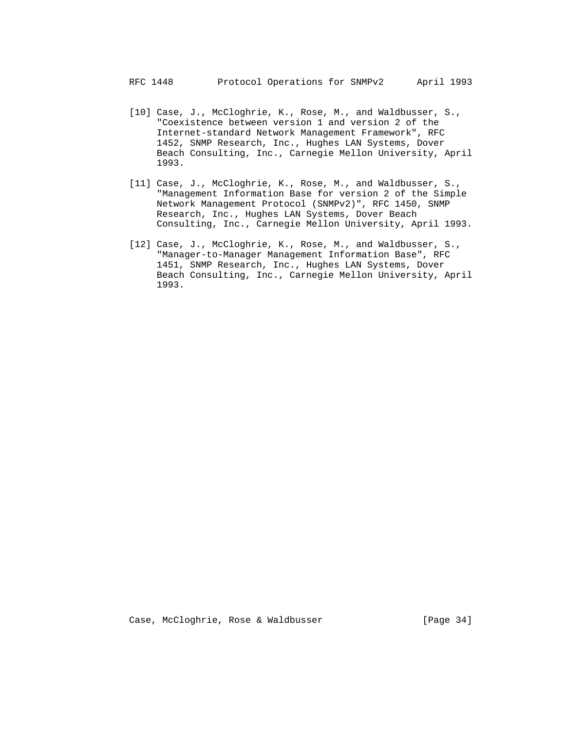- [10] Case, J., McCloghrie, K., Rose, M., and Waldbusser, S., "Coexistence between version 1 and version 2 of the Internet-standard Network Management Framework", RFC 1452, SNMP Research, Inc., Hughes LAN Systems, Dover Beach Consulting, Inc., Carnegie Mellon University, April 1993.
- [11] Case, J., McCloghrie, K., Rose, M., and Waldbusser, S., "Management Information Base for version 2 of the Simple Network Management Protocol (SNMPv2)", RFC 1450, SNMP Research, Inc., Hughes LAN Systems, Dover Beach Consulting, Inc., Carnegie Mellon University, April 1993.
- [12] Case, J., McCloghrie, K., Rose, M., and Waldbusser, S., "Manager-to-Manager Management Information Base", RFC 1451, SNMP Research, Inc., Hughes LAN Systems, Dover Beach Consulting, Inc., Carnegie Mellon University, April 1993.